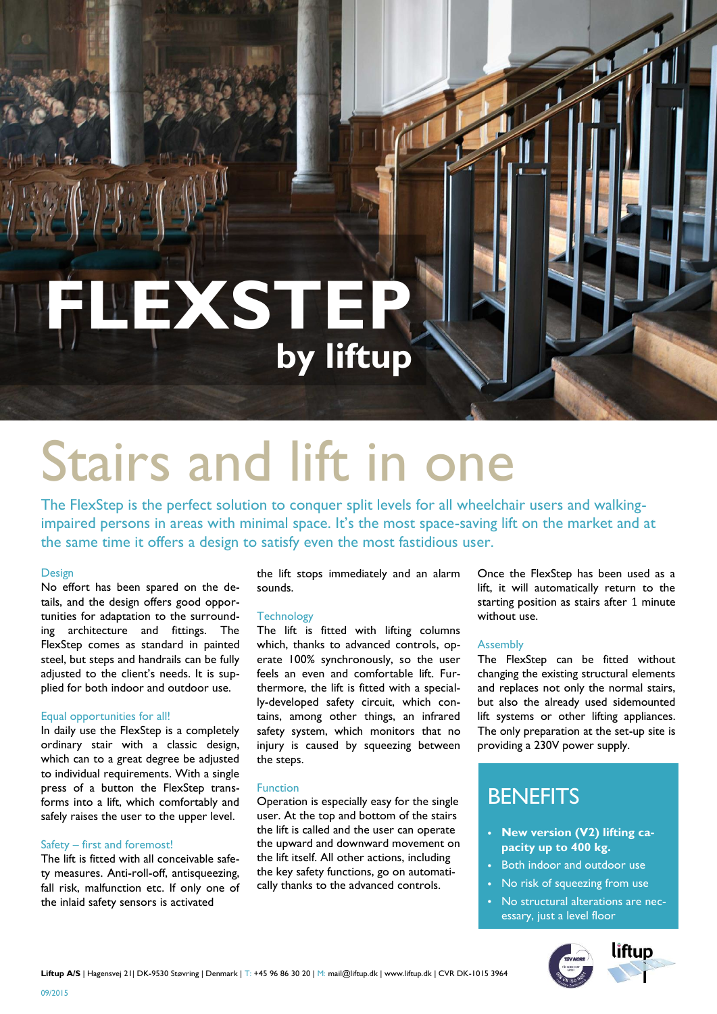**FLEXSTEP by liftup**

# Stairs and lift in one

The FlexStep is the perfect solution to conquer split levels for all wheelchair users and walkingimpaired persons in areas with minimal space. It's the most space-saving lift on the market and at the same time it offers a design to satisfy even the most fastidious user.

#### Design

No effort has been spared on the details, and the design offers good opportunities for adaptation to the surrounding architecture and fittings. The FlexStep comes as standard in painted steel, but steps and handrails can be fully adjusted to the client's needs. It is supplied for both indoor and outdoor use.

#### Equal opportunities for all!

In daily use the FlexStep is a completely ordinary stair with a classic design, which can to a great degree be adjusted to individual requirements. With a single press of a button the FlexStep transforms into a lift, which comfortably and safely raises the user to the upper level.

#### Safety – first and foremost!

09/2015

The lift is fitted with all conceivable safety measures. Anti-roll-off, antisqueezing, fall risk, malfunction etc. If only one of the inlaid safety sensors is activated

the lift stops immediately and an alarm sounds.

#### **Technology**

The lift is fitted with lifting columns which, thanks to advanced controls, operate 100% synchronously, so the user feels an even and comfortable lift. Furthermore, the lift is fitted with a specially-developed safety circuit, which contains, among other things, an infrared safety system, which monitors that no injury is caused by squeezing between the steps.

#### Function

Operation is especially easy for the single user. At the top and bottom of the stairs the lift is called and the user can operate the upward and downward movement on the lift itself. All other actions, including the key safety functions, go on automatically thanks to the advanced controls.

Once the FlexStep has been used as a lift, it will automatically return to the starting position as stairs after 1 minute without use.

#### Assembly

The FlexStep can be fitted without changing the existing structural elements and replaces not only the normal stairs, but also the already used sidemounted lift systems or other lifting appliances. The only preparation at the set-up site is providing a 230V power supply.

## **BENEFITS**

- **New version (V2) lifting capacity up to 400 kg.**
- Both indoor and outdoor use
- No risk of squeezing from use
- No structural alterations are necessary, just a level floor